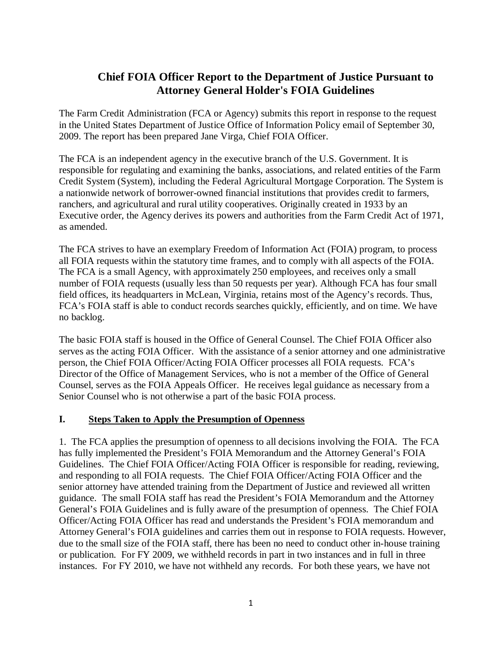# **Chief FOIA Officer Report to the Department of Justice Pursuant to Attorney General Holder's FOIA Guidelines**

The Farm Credit Administration (FCA or Agency) submits this report in response to the request in the United States Department of Justice Office of Information Policy email of September 30, 2009. The report has been prepared Jane Virga, Chief FOIA Officer.

The FCA is an independent agency in the executive branch of the U.S. Government. It is responsible for regulating and examining the banks, associations, and related entities of the Farm Credit System (System), including the Federal Agricultural Mortgage Corporation. The System is a nationwide network of borrower-owned financial institutions that provides credit to farmers, ranchers, and agricultural and rural utility cooperatives. Originally created in 1933 by an Executive order, the Agency derives its powers and authorities from the Farm Credit Act of 1971, as amended.

The FCA strives to have an exemplary Freedom of Information Act (FOIA) program, to process all FOIA requests within the statutory time frames, and to comply with all aspects of the FOIA. The FCA is a small Agency, with approximately 250 employees, and receives only a small number of FOIA requests (usually less than 50 requests per year). Although FCA has four small field offices, its headquarters in McLean, Virginia, retains most of the Agency's records. Thus, FCA's FOIA staff is able to conduct records searches quickly, efficiently, and on time. We have no backlog.

The basic FOIA staff is housed in the Office of General Counsel. The Chief FOIA Officer also serves as the acting FOIA Officer. With the assistance of a senior attorney and one administrative person, the Chief FOIA Officer/Acting FOIA Officer processes all FOIA requests. FCA's Director of the Office of Management Services, who is not a member of the Office of General Counsel, serves as the FOIA Appeals Officer. He receives legal guidance as necessary from a Senior Counsel who is not otherwise a part of the basic FOIA process.

### **I. Steps Taken to Apply the Presumption of Openness**

1. The FCA applies the presumption of openness to all decisions involving the FOIA. The FCA has fully implemented the President's FOIA Memorandum and the Attorney General's FOIA Guidelines. The Chief FOIA Officer/Acting FOIA Officer is responsible for reading, reviewing, and responding to all FOIA requests. The Chief FOIA Officer/Acting FOIA Officer and the senior attorney have attended training from the Department of Justice and reviewed all written guidance. The small FOIA staff has read the President's FOIA Memorandum and the Attorney General's FOIA Guidelines and is fully aware of the presumption of openness. The Chief FOIA Officer/Acting FOIA Officer has read and understands the President's FOIA memorandum and Attorney General's FOIA guidelines and carries them out in response to FOIA requests. However, due to the small size of the FOIA staff, there has been no need to conduct other in-house training or publication. For FY 2009, we withheld records in part in two instances and in full in three instances. For FY 2010, we have not withheld any records. For both these years, we have not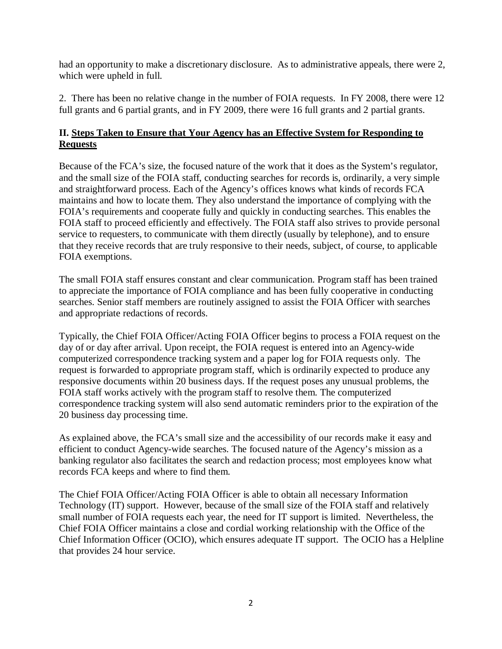had an opportunity to make a discretionary disclosure. As to administrative appeals, there were 2, which were upheld in full.

2. There has been no relative change in the number of FOIA requests. In FY 2008, there were 12 full grants and 6 partial grants, and in FY 2009, there were 16 full grants and 2 partial grants.

## **II. Steps Taken to Ensure that Your Agency has an Effective System for Responding to Requests**

Because of the FCA's size, the focused nature of the work that it does as the System's regulator, and the small size of the FOIA staff, conducting searches for records is, ordinarily, a very simple and straightforward process. Each of the Agency's offices knows what kinds of records FCA maintains and how to locate them. They also understand the importance of complying with the FOIA's requirements and cooperate fully and quickly in conducting searches. This enables the FOIA staff to proceed efficiently and effectively. The FOIA staff also strives to provide personal service to requesters, to communicate with them directly (usually by telephone), and to ensure that they receive records that are truly responsive to their needs, subject, of course, to applicable FOIA exemptions.

The small FOIA staff ensures constant and clear communication. Program staff has been trained to appreciate the importance of FOIA compliance and has been fully cooperative in conducting searches. Senior staff members are routinely assigned to assist the FOIA Officer with searches and appropriate redactions of records.

Typically, the Chief FOIA Officer/Acting FOIA Officer begins to process a FOIA request on the day of or day after arrival. Upon receipt, the FOIA request is entered into an Agency-wide computerized correspondence tracking system and a paper log for FOIA requests only. The request is forwarded to appropriate program staff, which is ordinarily expected to produce any responsive documents within 20 business days. If the request poses any unusual problems, the FOIA staff works actively with the program staff to resolve them. The computerized correspondence tracking system will also send automatic reminders prior to the expiration of the 20 business day processing time.

As explained above, the FCA's small size and the accessibility of our records make it easy and efficient to conduct Agency-wide searches. The focused nature of the Agency's mission as a banking regulator also facilitates the search and redaction process; most employees know what records FCA keeps and where to find them.

The Chief FOIA Officer/Acting FOIA Officer is able to obtain all necessary Information Technology (IT) support. However, because of the small size of the FOIA staff and relatively small number of FOIA requests each year, the need for IT support is limited. Nevertheless, the Chief FOIA Officer maintains a close and cordial working relationship with the Office of the Chief Information Officer (OCIO), which ensures adequate IT support. The OCIO has a Helpline that provides 24 hour service.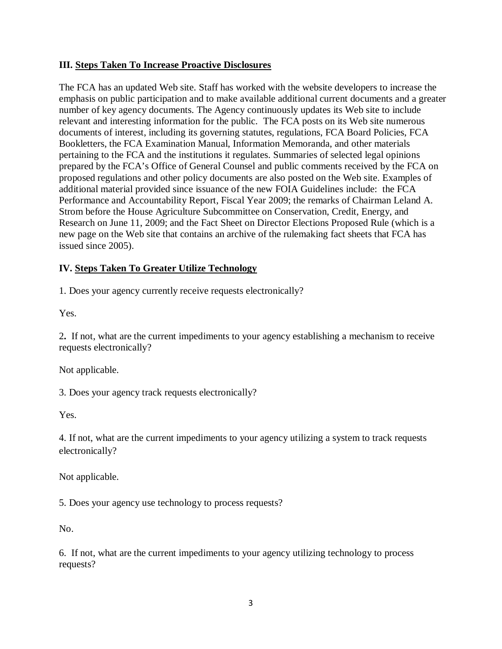#### **III. Steps Taken To Increase Proactive Disclosures**

The FCA has an updated Web site. Staff has worked with the website developers to increase the emphasis on public participation and to make available additional current documents and a greater number of key agency documents. The Agency continuously updates its Web site to include relevant and interesting information for the public. The FCA posts on its Web site numerous documents of interest, including its governing statutes, regulations, FCA Board Policies, FCA Bookletters, the FCA Examination Manual, Information Memoranda, and other materials pertaining to the FCA and the institutions it regulates. Summaries of selected legal opinions prepared by the FCA's Office of General Counsel and public comments received by the FCA on proposed regulations and other policy documents are also posted on the Web site. Examples of additional material provided since issuance of the new FOIA Guidelines include: the [FCA](http://www.fca.gov/FCA-web/fca%20new%20site/Download/AccountabilityReports/2009Performance&AccountabilityReport.pdf)  [Performance and Accountability Report, Fiscal](http://www.fca.gov/FCA-web/fca%20new%20site/Download/AccountabilityReports/2009Performance&AccountabilityReport.pdf) Year 2009; the remarks of Chairman Leland A. Strom before the House Agriculture Subcommittee on Conservation, Credit, Energy, and Research on June 11, 2009; and the [Fact Sheet on Director Elections Proposed Rule](http://www.fca.gov/news/rulemakingfactsheets.html) (which is a new page on the Web site that contains an archive of the rulemaking fact sheets that FCA has issued since 2005).

#### **IV. Steps Taken To Greater Utilize Technology**

1. Does your agency currently receive requests electronically?

Yes.

2**.** If not, what are the current impediments to your agency establishing a mechanism to receive requests electronically?

Not applicable.

3. Does your agency track requests electronically?

Yes.

4. If not, what are the current impediments to your agency utilizing a system to track requests electronically?

Not applicable.

5. Does your agency use technology to process requests?

No.

6. If not, what are the current impediments to your agency utilizing technology to process requests?